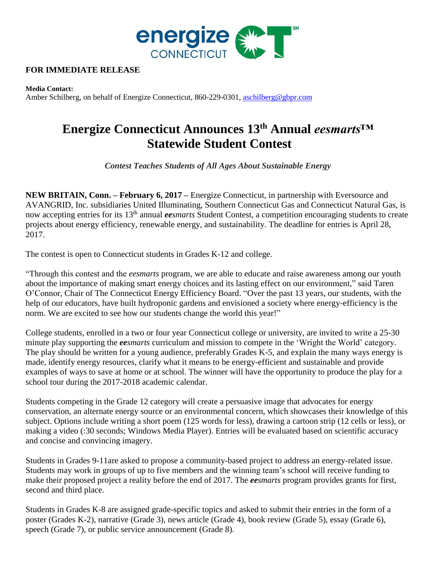

## **FOR IMMEDIATE RELEASE**

**Media Contact:** Amber Schilberg, on behalf of Energize Connecticut, 860-229-0301, [aschilberg@gbpr.com](mailto:aschilberg@gbpr.com)

## **Energize Connecticut Announces 13th Annual** *eesmarts™*  **Statewide Student Contest**

*Contest Teaches Students of All Ages About Sustainable Energy* 

**NEW BRITAIN, Conn. – February 6, 2017 –** Energize Connecticut, in partnership with Eversource and AVANGRID, Inc. subsidiaries United Illuminating, Southern Connecticut Gas and Connecticut Natural Gas, is now accepting entries for its 13th annual *eesmarts* Student Contest, a competition encouraging students to create projects about energy efficiency, renewable energy, and sustainability. The deadline for entries is April 28, 2017.

The contest is open to Connecticut students in Grades K-12 and college.

"Through this contest and the *eesmarts* program, we are able to educate and raise awareness among our youth about the importance of making smart energy choices and its lasting effect on our environment," said Taren O'Connor, Chair of The Connecticut Energy Efficiency Board. "Over the past 13 years, our students, with the help of our educators, have built hydroponic gardens and envisioned a society where energy-efficiency is the norm. We are excited to see how our students change the world this year!"

College students, enrolled in a two or four year Connecticut college or university, are invited to write a 25-30 minute play supporting the *eesmarts* curriculum and mission to compete in the 'Wright the World' category. The play should be written for a young audience, preferably Grades K-5, and explain the many ways energy is made, identify energy resources, clarify what it means to be energy-efficient and sustainable and provide examples of ways to save at home or at school. The winner will have the opportunity to produce the play for a school tour during the 2017-2018 academic calendar.

Students competing in the Grade 12 category will create a persuasive image that advocates for energy conservation, an alternate energy source or an environmental concern, which showcases their knowledge of this subject. Options include writing a short poem (125 words for less), drawing a cartoon strip (12 cells or less), or making a video (:30 seconds; Windows Media Player). Entries will be evaluated based on scientific accuracy and concise and convincing imagery.

Students in Grades 9-11are asked to propose a community-based project to address an energy-related issue. Students may work in groups of up to five members and the winning team's school will receive funding to make their proposed project a reality before the end of 2017. The *eesmarts* program provides grants for first, second and third place.

Students in Grades K-8 are assigned grade-specific topics and asked to submit their entries in the form of a poster (Grades K-2), narrative (Grade 3), news article (Grade 4), book review (Grade 5), essay (Grade 6), speech (Grade 7), or public service announcement (Grade 8).